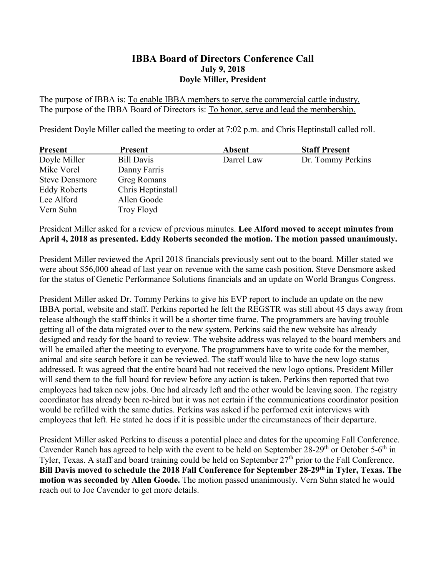## **IBBA Board of Directors Conference Call July 9, 2018 Doyle Miller, President**

The purpose of IBBA is: To enable IBBA members to serve the commercial cattle industry. The purpose of the IBBA Board of Directors is: To honor, serve and lead the membership.

President Doyle Miller called the meeting to order at 7:02 p.m. and Chris Heptinstall called roll.

| <b>Present</b>        | <b>Present</b>     | <b>Absent</b> | <b>Staff Present</b> |
|-----------------------|--------------------|---------------|----------------------|
| Doyle Miller          | <b>Bill Davis</b>  | Darrel Law    | Dr. Tommy Perkins    |
| Mike Vorel            | Danny Farris       |               |                      |
| <b>Steve Densmore</b> | <b>Greg Romans</b> |               |                      |
| <b>Eddy Roberts</b>   | Chris Heptinstall  |               |                      |
| Lee Alford            | Allen Goode        |               |                      |
| Vern Suhn             | Troy Floyd         |               |                      |

President Miller asked for a review of previous minutes. **Lee Alford moved to accept minutes from April 4, 2018 as presented. Eddy Roberts seconded the motion. The motion passed unanimously.**

President Miller reviewed the April 2018 financials previously sent out to the board. Miller stated we were about \$56,000 ahead of last year on revenue with the same cash position. Steve Densmore asked for the status of Genetic Performance Solutions financials and an update on World Brangus Congress.

President Miller asked Dr. Tommy Perkins to give his EVP report to include an update on the new IBBA portal, website and staff. Perkins reported he felt the REGSTR was still about 45 days away from release although the staff thinks it will be a shorter time frame. The programmers are having trouble getting all of the data migrated over to the new system. Perkins said the new website has already designed and ready for the board to review. The website address was relayed to the board members and will be emailed after the meeting to everyone. The programmers have to write code for the member, animal and site search before it can be reviewed. The staff would like to have the new logo status addressed. It was agreed that the entire board had not received the new logo options. President Miller will send them to the full board for review before any action is taken. Perkins then reported that two employees had taken new jobs. One had already left and the other would be leaving soon. The registry coordinator has already been re-hired but it was not certain if the communications coordinator position would be refilled with the same duties. Perkins was asked if he performed exit interviews with employees that left. He stated he does if it is possible under the circumstances of their departure.

President Miller asked Perkins to discuss a potential place and dates for the upcoming Fall Conference. Cavender Ranch has agreed to help with the event to be held on September  $28-29<sup>th</sup>$  or October 5-6<sup>th</sup> in Tyler, Texas. A staff and board training could be held on September 27<sup>th</sup> prior to the Fall Conference. **Bill Davis moved to schedule the 2018 Fall Conference for September 28-29th in Tyler, Texas. The motion was seconded by Allen Goode.** The motion passed unanimously. Vern Suhn stated he would reach out to Joe Cavender to get more details.